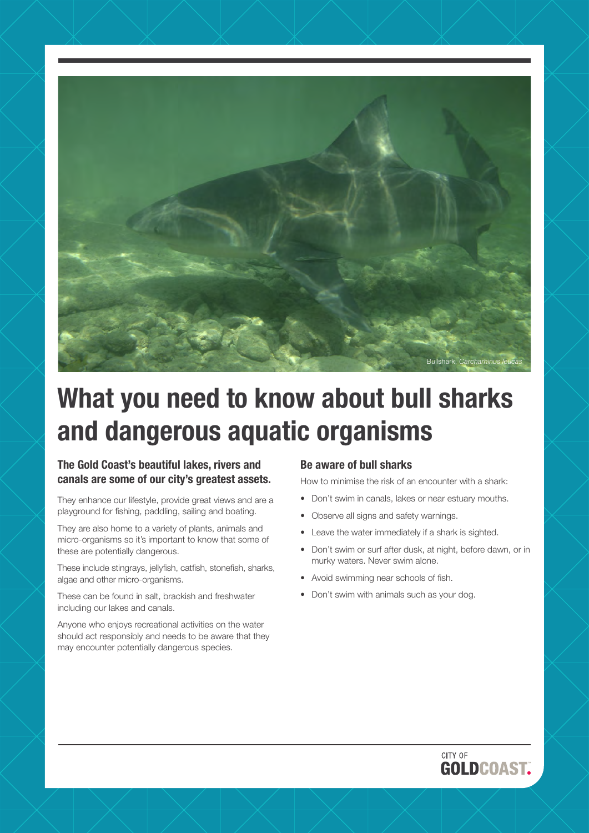

# **What you need to know about bull sharks and dangerous aquatic organisms**

## **The Gold Coast's beautiful lakes, rivers and canals are some of our city's greatest assets.**

They enhance our lifestyle, provide great views and are a playground for fishing, paddling, sailing and boating.

They are also home to a variety of plants, animals and micro-organisms so it's important to know that some of these are potentially dangerous.

These include stingrays, jellyfish, catfish, stonefish, sharks, algae and other micro-organisms.

These can be found in salt, brackish and freshwater including our lakes and canals.

Anyone who enjoys recreational activities on the water should act responsibly and needs to be aware that they may encounter potentially dangerous species.

#### **Be aware of bull sharks**

How to minimise the risk of an encounter with a shark:

- Don't swim in canals, lakes or near estuary mouths.
- Observe all signs and safety warnings.
- Leave the water immediately if a shark is sighted.
- Don't swim or surf after dusk, at night, before dawn, or in murky waters. Never swim alone.
- Avoid swimming near schools of fish.
- Don't swim with animals such as your dog.